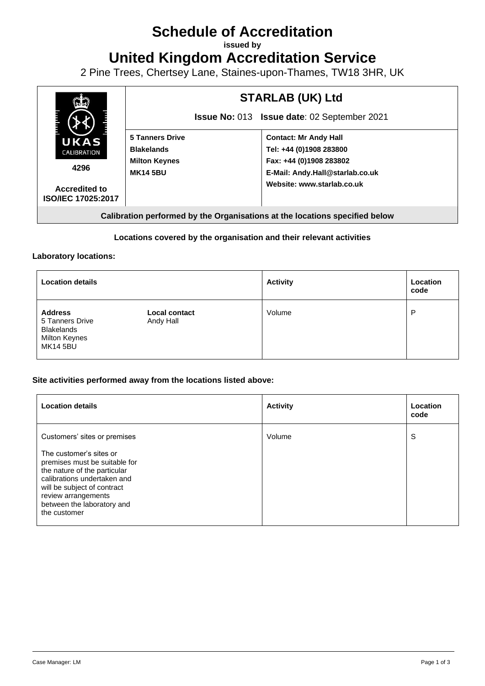# **Schedule of Accreditation**

**issued by**

**United Kingdom Accreditation Service**

2 Pine Trees, Chertsey Lane, Staines-upon-Thames, TW18 3HR, UK



# **Locations covered by the organisation and their relevant activities**

#### **Laboratory locations:**

| <b>Location details</b>                                                                           |                                   | <b>Activity</b> | Location<br>code |
|---------------------------------------------------------------------------------------------------|-----------------------------------|-----------------|------------------|
| <b>Address</b><br>5 Tanners Drive<br><b>Blakelands</b><br><b>Milton Keynes</b><br><b>MK14 5BU</b> | <b>Local contact</b><br>Andy Hall | Volume          | P                |

### **Site activities performed away from the locations listed above:**

| <b>Location details</b>                                                                                                                                                                                                                     | <b>Activity</b> | Location<br>code |
|---------------------------------------------------------------------------------------------------------------------------------------------------------------------------------------------------------------------------------------------|-----------------|------------------|
| Customers' sites or premises<br>The customer's sites or<br>premises must be suitable for<br>the nature of the particular<br>calibrations undertaken and<br>will be subject of contract<br>review arrangements<br>between the laboratory and | Volume          | S                |
| the customer                                                                                                                                                                                                                                |                 |                  |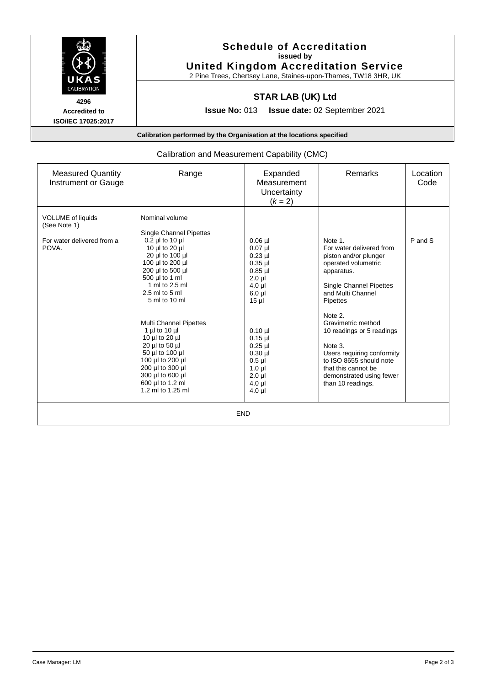

**Accredited to ISO/IEC 17025:2017**

## **Schedule of Accreditation issued by United Kingdom Accreditation Service**

2 Pine Trees, Chertsey Lane, Staines-upon-Thames, TW18 3HR, UK

# **STAR LAB (UK) Ltd**

**Issue No:** 013 **Issue date:** 02 September 2021

**Calibration performed by the Organisation at the locations specified**

### Calibration and Measurement Capability (CMC)

| <b>Measured Quantity</b><br>Instrument or Gauge | Range                                                                                                                                                                                                            | Expanded<br>Measurement<br>Uncertainty<br>$(k = 2)$                                                              | Remarks                                                                                                                                                                                                | Location<br>Code |  |  |  |
|-------------------------------------------------|------------------------------------------------------------------------------------------------------------------------------------------------------------------------------------------------------------------|------------------------------------------------------------------------------------------------------------------|--------------------------------------------------------------------------------------------------------------------------------------------------------------------------------------------------------|------------------|--|--|--|
| <b>VOLUME</b> of liquids<br>(See Note 1)        | Nominal volume<br><b>Single Channel Pipettes</b><br>$0.2$ µl to 10 µl                                                                                                                                            |                                                                                                                  | Note 1.                                                                                                                                                                                                | P and S          |  |  |  |
| For water delivered from a<br>POVA.             | 10 µl to 20 µl<br>20 µl to 100 µl<br>100 µl to 200 µl<br>200 µl to 500 µl<br>500 µl to 1 ml<br>1 ml to 2.5 ml<br>$2.5$ ml to $5$ ml<br>5 ml to 10 ml                                                             | $0.06$ µl<br>$0.07$ µl<br>$0.23$ µl<br>$0.35$ µl<br>$0.85$ µl<br>$2.0$ $\mu$<br>$4.0$ µ<br>$6.0$ µl<br>$15$ µ    | For water delivered from<br>piston and/or plunger<br>operated volumetric<br>apparatus.<br>Single Channel Pipettes<br>and Multi Channel<br>Pipettes                                                     |                  |  |  |  |
|                                                 | <b>Multi Channel Pipettes</b><br>1 $\mu$ to 10 $\mu$<br>10 µl to 20 µl<br>20 µl to 50 µl<br>50 µl to 100 µl<br>100 µl to 200 µl<br>200 µl to 300 µl<br>300 µl to 600 µl<br>600 µl to 1.2 ml<br>1.2 ml to 1.25 ml | $0.10$ ul<br>$0.15$ µ<br>$0.25$ µl<br>$0.30$ µl<br>$0.5$ $\mu$<br>$1.0 \mu$<br>$2.0$ $\mu$<br>$4.0$ µ<br>$4.0$ µ | Note 2.<br>Gravimetric method<br>10 readings or 5 readings<br>Note 3.<br>Users requiring conformity<br>to ISO 8655 should note<br>that this cannot be<br>demonstrated using fewer<br>than 10 readings. |                  |  |  |  |
| <b>END</b>                                      |                                                                                                                                                                                                                  |                                                                                                                  |                                                                                                                                                                                                        |                  |  |  |  |

Case Manager: LM Page 2 of 3